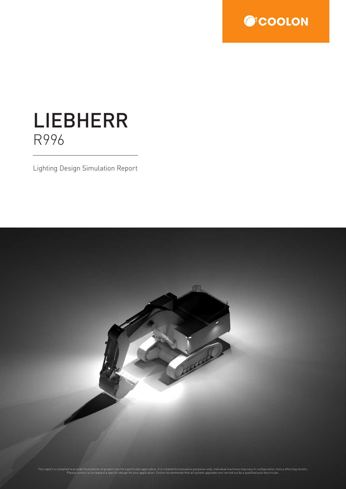

# LIEBHERR R996

Lighting Design Simulation Report

This report is compiled to provide illustrations of product use for a particular application. It is created for evaluation purposes only. Individual machines may vary in configuration, hence affecting results.<br>Please conta

组

Local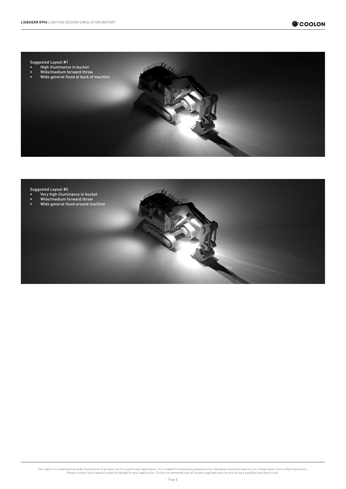

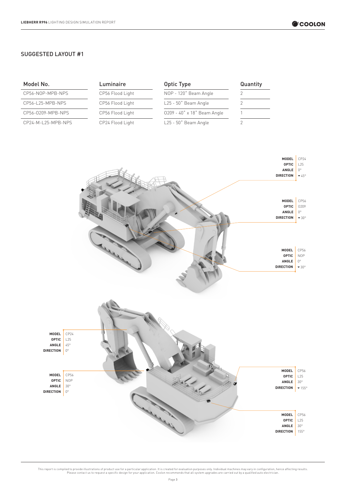**OPTIC** L25 ANGLE 30° **DIRECTION** 155°

#### SUGGESTED LAYOUT #1

| Model No.                                          |                                            | Luminaire        | Optic Type                  | Quantity       |                                                             |                                                                |
|----------------------------------------------------|--------------------------------------------|------------------|-----------------------------|----------------|-------------------------------------------------------------|----------------------------------------------------------------|
| CP56-NOP-MPB-NPS                                   |                                            | CP56 Flood Light | NOP - 120° Beam Angle       | $\sqrt{2}$     |                                                             |                                                                |
| CP56-L25-MPB-NPS                                   |                                            | CP56 Flood Light | L25 - 50° Beam Angle        | $\mathbf{2}$   |                                                             |                                                                |
| CP56-0209-MPB-NPS                                  |                                            | CP56 Flood Light | 0209 - 40° x 18° Beam Angle | 1              |                                                             |                                                                |
| CP24-M-L25-MPB-NPS                                 |                                            | CP24 Flood Light | L25 - 50° Beam Angle        | $\overline{2}$ |                                                             |                                                                |
|                                                    |                                            |                  |                             |                | MODEL<br><b>OPTIC</b><br>ANGLE<br><b>DIRECTION</b><br>MODEL | CP24<br>L25<br>$0^{\circ}$<br>$\blacktriangledown$ 45°<br>CP56 |
|                                                    |                                            |                  |                             |                | <b>OPTIC</b><br>${\sf ANGLE}$                               | 0209<br>$0^{\circ}$                                            |
|                                                    |                                            |                  |                             |                | <b>DIRECTION</b>                                            | $-30^{\circ}$                                                  |
|                                                    |                                            |                  |                             |                | MODEL<br><b>OPTIC</b><br>ANGLE<br><b>DIRECTION</b>          | CP56<br>$\sf{NOP}$<br>$0^{\circ}$<br>$-30^{\circ}$             |
| MODEL<br><b>OPTIC</b><br>ANGLE<br><b>DIRECTION</b> | CP24<br>L25<br>$45^{\circ}$<br>$0^{\circ}$ |                  |                             |                |                                                             |                                                                |
| MODEL                                              | CP56                                       |                  |                             |                | MODEL<br><b>OPTIC</b>                                       | CP56<br>L25                                                    |
| <b>OPTIC</b><br>ANGLE                              | <b>NOP</b><br>$30^{\circ}$                 |                  |                             |                | $\sf ANGLE$<br><b>DIRECTION</b>                             | $30^{\circ}$<br>$\blacktriangledown$ 155°                      |
| <b>DIRECTION</b>                                   | $0^{\circ}$                                |                  |                             |                |                                                             |                                                                |
|                                                    |                                            |                  |                             |                | MODEL                                                       | CP56                                                           |
|                                                    |                                            |                  |                             |                | <b>OPTIC</b>                                                | L25                                                            |
|                                                    |                                            |                  |                             |                | ANGLE<br><b>DIRECTION</b>                                   | $30^{\circ}$<br>$155^\circ$                                    |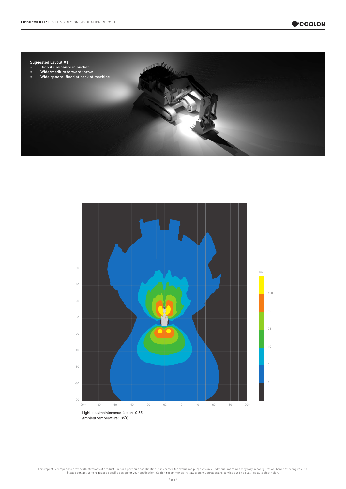

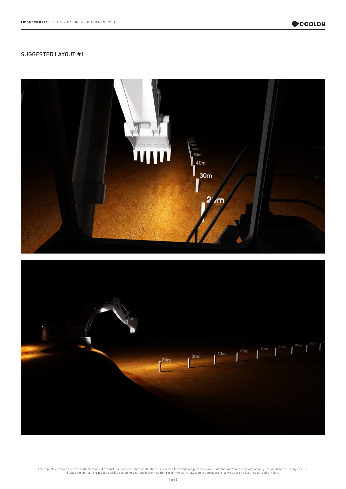

## SUGGESTED LAYOUT #1



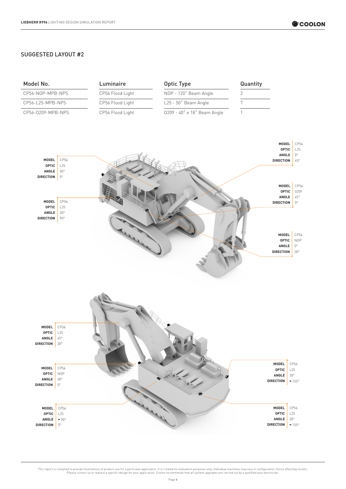### SUGGESTED LAYOUT #2

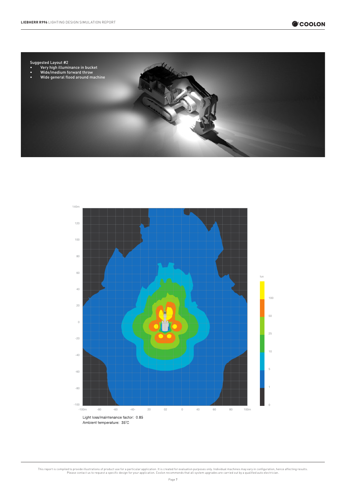